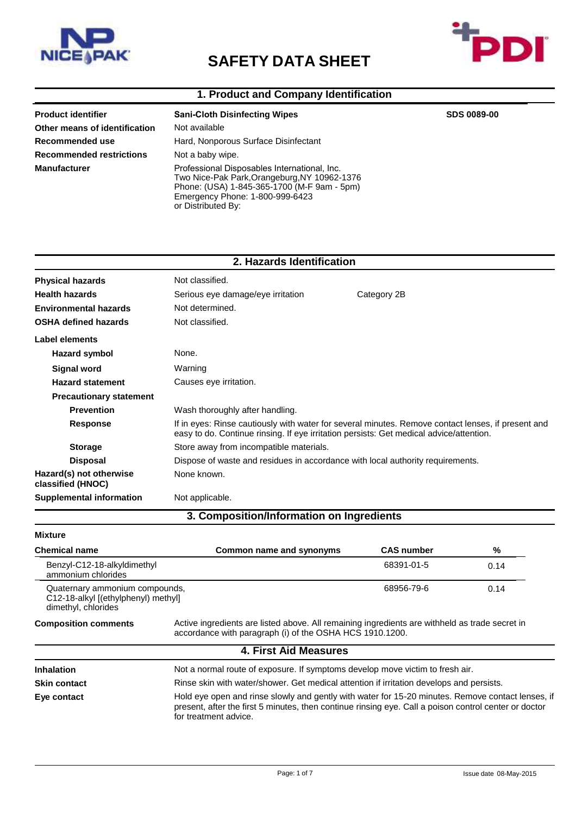

# **SAFETY DATA SHEET**



#### **1. Product and Company Identification**

| <b>Product identifier</b>       | <b>Sani-Cloth Disinfecting Wipes</b>                                                                                                                                                                 | <b>SDS 0089-00</b> |
|---------------------------------|------------------------------------------------------------------------------------------------------------------------------------------------------------------------------------------------------|--------------------|
| Other means of identification   | Not available                                                                                                                                                                                        |                    |
| Recommended use                 | Hard, Nonporous Surface Disinfectant                                                                                                                                                                 |                    |
| <b>Recommended restrictions</b> | Not a baby wipe.                                                                                                                                                                                     |                    |
| <b>Manufacturer</b>             | Professional Disposables International, Inc.<br>Two Nice-Pak Park, Orangeburg, NY 10962-1376<br>Phone: (USA) 1-845-365-1700 (M-F 9am - 5pm)<br>Emergency Phone: 1-800-999-6423<br>or Distributed By: |                    |

### **2. Hazards Identification**

| <b>Physical hazards</b><br><b>Health hazards</b> | Not classified.<br>Serious eye damage/eye irritation                                    | Category 2B                                                                                        |
|--------------------------------------------------|-----------------------------------------------------------------------------------------|----------------------------------------------------------------------------------------------------|
| <b>Environmental hazards</b>                     | Not determined.                                                                         |                                                                                                    |
| <b>OSHA defined hazards</b>                      | Not classified.                                                                         |                                                                                                    |
| Label elements                                   |                                                                                         |                                                                                                    |
| Hazard symbol                                    | None.                                                                                   |                                                                                                    |
| Signal word                                      | Warning                                                                                 |                                                                                                    |
| <b>Hazard statement</b>                          | Causes eye irritation.                                                                  |                                                                                                    |
| <b>Precautionary statement</b>                   |                                                                                         |                                                                                                    |
| <b>Prevention</b>                                | Wash thoroughly after handling.                                                         |                                                                                                    |
| Response                                         | easy to do. Continue rinsing. If eye irritation persists: Get medical advice/attention. | If in eyes: Rinse cautiously with water for several minutes. Remove contact lenses, if present and |
| <b>Storage</b>                                   | Store away from incompatible materials.                                                 |                                                                                                    |
| <b>Disposal</b>                                  | Dispose of waste and residues in accordance with local authority requirements.          |                                                                                                    |
| Hazard(s) not otherwise<br>classified (HNOC)     | None known.                                                                             |                                                                                                    |
| Supplemental information                         | Not applicable.                                                                         |                                                                                                    |

## **3. Composition/Information on Ingredients**

| <b>Mixture</b>                                                                               |                                                                                                                                                            |                   |      |
|----------------------------------------------------------------------------------------------|------------------------------------------------------------------------------------------------------------------------------------------------------------|-------------------|------|
| <b>Chemical name</b>                                                                         | Common name and synonyms                                                                                                                                   | <b>CAS number</b> | %    |
| Benzyl-C12-18-alkyldimethyl<br>ammonium chlorides                                            |                                                                                                                                                            | 68391-01-5        | 0.14 |
| Quaternary ammonium compounds,<br>C12-18-alkyl [(ethylphenyl) methyl]<br>dimethyl, chlorides |                                                                                                                                                            | 68956-79-6        | 0.14 |
| <b>Composition comments</b>                                                                  | Active ingredients are listed above. All remaining ingredients are withheld as trade secret in<br>accordance with paragraph (i) of the OSHA HCS 1910.1200. |                   |      |
|                                                                                              | <b>4. First Aid Measures</b>                                                                                                                               |                   |      |
| <b>Inhalation</b>                                                                            | Not a normal route of exposure. If symptoms develop move victim to fresh air.                                                                              |                   |      |
| <b>Skin contact</b>                                                                          | Rinse skin with water/shower. Get medical attention if irritation develops and persists.                                                                   |                   |      |
| Eye contact                                                                                  | Hold eye open and rinse slowly and gently with water for 15-20 minutes. Remove contact lenses, if                                                          |                   |      |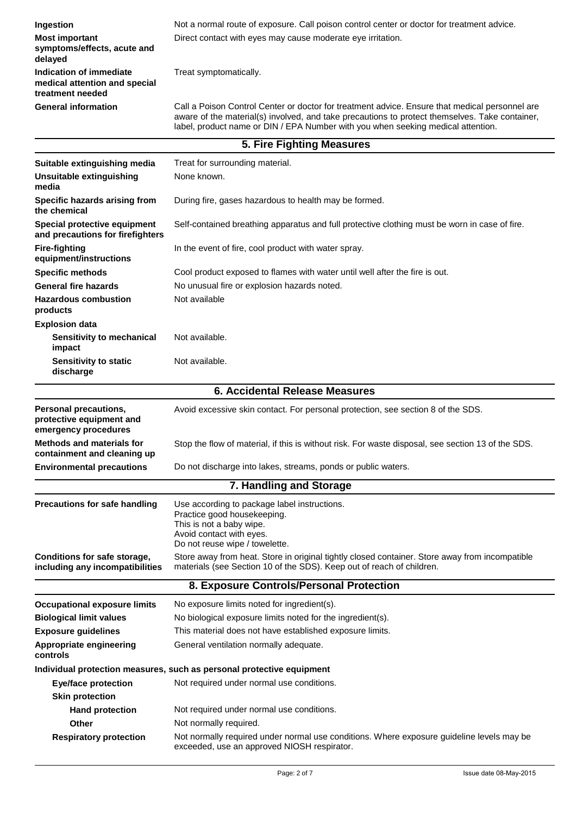| <b>Ingestion</b>                                                             | Not a normal route of exposure. Call poison control center or doctor for treatment advice.                                                                                                                                                                                           |
|------------------------------------------------------------------------------|--------------------------------------------------------------------------------------------------------------------------------------------------------------------------------------------------------------------------------------------------------------------------------------|
| <b>Most important</b><br>symptoms/effects, acute and<br>delayed              | Direct contact with eyes may cause moderate eye irritation.                                                                                                                                                                                                                          |
| Indication of immediate<br>medical attention and special<br>treatment needed | Treat symptomatically.                                                                                                                                                                                                                                                               |
| <b>General information</b>                                                   | Call a Poison Control Center or doctor for treatment advice. Ensure that medical personnel are<br>aware of the material(s) involved, and take precautions to protect themselves. Take container,<br>label, product name or DIN / EPA Number with you when seeking medical attention. |

|                                                                                  | 5. Fire Fighting Measures                                                                                                                                               |
|----------------------------------------------------------------------------------|-------------------------------------------------------------------------------------------------------------------------------------------------------------------------|
| Suitable extinguishing media                                                     | Treat for surrounding material.                                                                                                                                         |
| Unsuitable extinguishing<br>media                                                | None known.                                                                                                                                                             |
| Specific hazards arising from<br>the chemical                                    | During fire, gases hazardous to health may be formed.                                                                                                                   |
| Special protective equipment<br>and precautions for firefighters                 | Self-contained breathing apparatus and full protective clothing must be worn in case of fire.                                                                           |
| <b>Fire-fighting</b><br>equipment/instructions                                   | In the event of fire, cool product with water spray.                                                                                                                    |
| <b>Specific methods</b>                                                          | Cool product exposed to flames with water until well after the fire is out.                                                                                             |
| <b>General fire hazards</b>                                                      | No unusual fire or explosion hazards noted.                                                                                                                             |
| <b>Hazardous combustion</b><br>products                                          | Not available                                                                                                                                                           |
| <b>Explosion data</b>                                                            |                                                                                                                                                                         |
| Sensitivity to mechanical<br>impact                                              | Not available.                                                                                                                                                          |
| Sensitivity to static<br>discharge                                               | Not available.                                                                                                                                                          |
|                                                                                  | <b>6. Accidental Release Measures</b>                                                                                                                                   |
| <b>Personal precautions,</b><br>protective equipment and<br>emergency procedures | Avoid excessive skin contact. For personal protection, see section 8 of the SDS.                                                                                        |
| <b>Methods and materials for</b><br>containment and cleaning up                  | Stop the flow of material, if this is without risk. For waste disposal, see section 13 of the SDS.                                                                      |
| <b>Environmental precautions</b>                                                 | Do not discharge into lakes, streams, ponds or public waters.                                                                                                           |
|                                                                                  | 7. Handling and Storage                                                                                                                                                 |
| <b>Precautions for safe handling</b>                                             | Use according to package label instructions.<br>Practice good housekeeping.<br>This is not a baby wipe.<br>Avoid contact with eyes.<br>Do not reuse wipe / towelette.   |
| Conditions for safe storage,<br>including any incompatibilities                  | Store away from heat. Store in original tightly closed container. Store away from incompatible<br>materials (see Section 10 of the SDS). Keep out of reach of children. |
|                                                                                  | 8. Exposure Controls/Personal Protection                                                                                                                                |
| <b>Occupational exposure limits</b>                                              | No exposure limits noted for ingredient(s).                                                                                                                             |
| <b>Biological limit values</b>                                                   | No biological exposure limits noted for the ingredient(s).                                                                                                              |
| <b>Exposure guidelines</b>                                                       | This material does not have established exposure limits.                                                                                                                |
| Appropriate engineering<br>controls                                              | General ventilation normally adequate.                                                                                                                                  |
|                                                                                  | Individual protection measures, such as personal protective equipment                                                                                                   |
| <b>Eye/face protection</b>                                                       | Not required under normal use conditions.                                                                                                                               |
| <b>Skin protection</b>                                                           |                                                                                                                                                                         |
| <b>Hand protection</b>                                                           | Not required under normal use conditions.                                                                                                                               |
| <b>Other</b>                                                                     | Not normally required.                                                                                                                                                  |
| <b>Respiratory protection</b>                                                    | Not normally required under normal use conditions. Where exposure guideline levels may be<br>exceeded, use an approved NIOSH respirator.                                |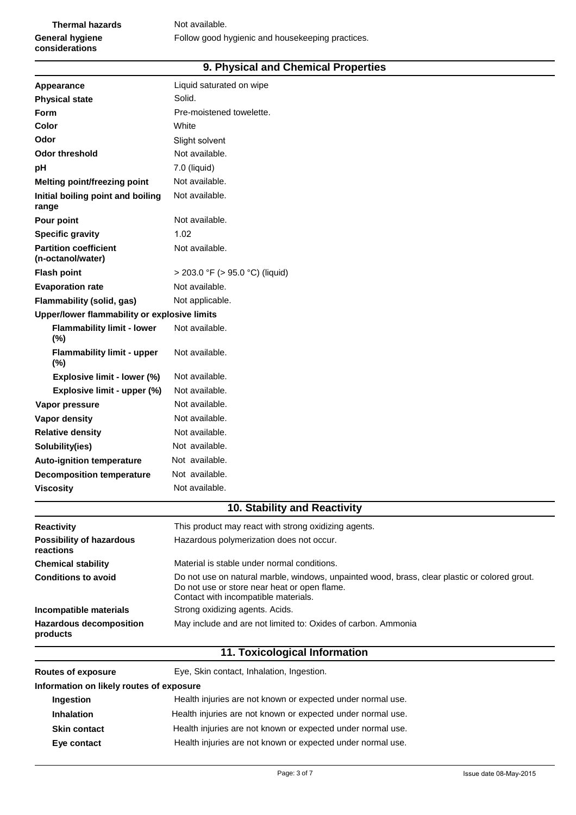#### **9. Physical and Chemical Properties**

| Appearance                                        | Liquid saturated on wipe                                                                                                                                                              |  |
|---------------------------------------------------|---------------------------------------------------------------------------------------------------------------------------------------------------------------------------------------|--|
| <b>Physical state</b>                             | Solid.                                                                                                                                                                                |  |
| <b>Form</b>                                       | Pre-moistened towelette.                                                                                                                                                              |  |
| Color                                             | White                                                                                                                                                                                 |  |
| Odor                                              | Slight solvent                                                                                                                                                                        |  |
| <b>Odor threshold</b>                             | Not available.                                                                                                                                                                        |  |
| pH                                                | 7.0 (liquid)                                                                                                                                                                          |  |
| Melting point/freezing point                      | Not available.                                                                                                                                                                        |  |
| Initial boiling point and boiling<br>range        | Not available.                                                                                                                                                                        |  |
| Pour point                                        | Not available.                                                                                                                                                                        |  |
| <b>Specific gravity</b>                           | 1.02                                                                                                                                                                                  |  |
| <b>Partition coefficient</b><br>(n-octanol/water) | Not available.                                                                                                                                                                        |  |
| <b>Flash point</b>                                | > 203.0 °F (> 95.0 °C) (liquid)                                                                                                                                                       |  |
| <b>Evaporation rate</b>                           | Not available.                                                                                                                                                                        |  |
| <b>Flammability (solid, gas)</b>                  | Not applicable.                                                                                                                                                                       |  |
| Upper/lower flammability or explosive limits      |                                                                                                                                                                                       |  |
| <b>Flammability limit - lower</b><br>$(\%)$       | Not available.                                                                                                                                                                        |  |
| <b>Flammability limit - upper</b><br>$(\%)$       | Not available.                                                                                                                                                                        |  |
| Explosive limit - lower (%)                       | Not available.                                                                                                                                                                        |  |
| Explosive limit - upper (%)                       | Not available.                                                                                                                                                                        |  |
| Vapor pressure                                    | Not available.                                                                                                                                                                        |  |
| Vapor density                                     | Not available.                                                                                                                                                                        |  |
| <b>Relative density</b>                           | Not available.                                                                                                                                                                        |  |
| Solubility(ies)                                   | Not available.                                                                                                                                                                        |  |
| <b>Auto-ignition temperature</b>                  | Not available.                                                                                                                                                                        |  |
| <b>Decomposition temperature</b>                  | Not available.                                                                                                                                                                        |  |
| <b>Viscosity</b>                                  | Not available.                                                                                                                                                                        |  |
| 10. Stability and Reactivity                      |                                                                                                                                                                                       |  |
| <b>Reactivity</b>                                 | This product may react with strong oxidizing agents.                                                                                                                                  |  |
| <b>Possibility of hazardous</b><br>reactions      | Hazardous polymerization does not occur.                                                                                                                                              |  |
| <b>Chemical stability</b>                         | Material is stable under normal conditions.                                                                                                                                           |  |
| <b>Conditions to avoid</b>                        | Do not use on natural marble, windows, unpainted wood, brass, clear plastic or colored grout.<br>Do not use or store near heat or open flame.<br>Contact with incompatible materials. |  |
| Incompatible materials                            | Strong oxidizing agents. Acids.                                                                                                                                                       |  |
| <b>Hazardous decomposition</b><br>products        | May include and are not limited to: Oxides of carbon. Ammonia                                                                                                                         |  |
| 11. Toxicological Information                     |                                                                                                                                                                                       |  |

# **Routes of exposure Eye**, Skin contact, Inhalation, Ingestion. **Information on likely routes of exposure Ingestion Health injuries are not known or expected under normal use. Inhalation Health injuries are not known or expected under normal use. Skin contact Health injuries are not known or expected under normal use. Eye contact** Health injuries are not known or expected under normal use.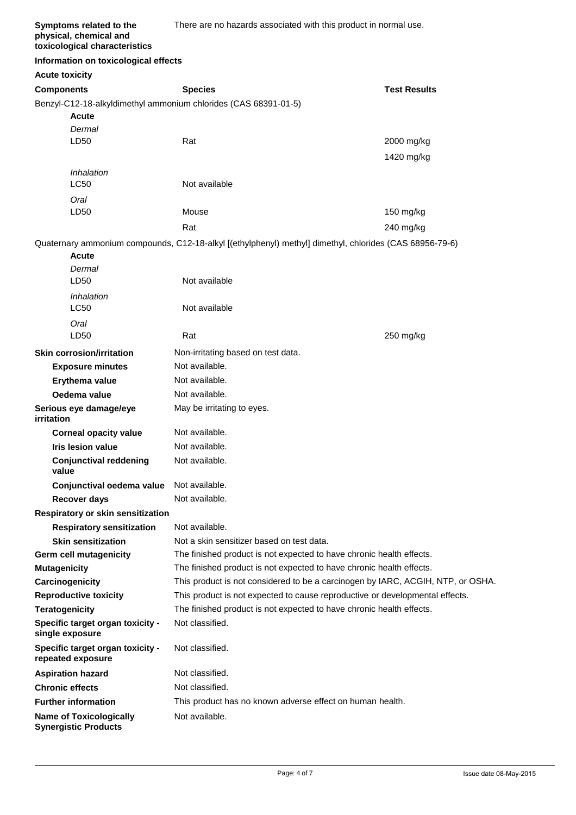| Symptoms related to the<br>physical, chemical and<br>toxicological characteristics | There are no hazards associated with this product in normal use.                                        |                     |
|------------------------------------------------------------------------------------|---------------------------------------------------------------------------------------------------------|---------------------|
| Information on toxicological effects                                               |                                                                                                         |                     |
| <b>Acute toxicity</b>                                                              |                                                                                                         |                     |
| <b>Components</b>                                                                  | <b>Species</b>                                                                                          | <b>Test Results</b> |
| Benzyl-C12-18-alkyldimethyl ammonium chlorides (CAS 68391-01-5)                    |                                                                                                         |                     |
| <b>Acute</b>                                                                       |                                                                                                         |                     |
| Dermal                                                                             |                                                                                                         |                     |
| LD50                                                                               | Rat                                                                                                     | 2000 mg/kg          |
|                                                                                    |                                                                                                         | 1420 mg/kg          |
| Inhalation                                                                         |                                                                                                         |                     |
| <b>LC50</b>                                                                        | Not available                                                                                           |                     |
| Oral                                                                               |                                                                                                         |                     |
| LD50                                                                               | Mouse                                                                                                   | 150 mg/kg           |
|                                                                                    | Rat                                                                                                     | 240 mg/kg           |
|                                                                                    | Quaternary ammonium compounds, C12-18-alkyl [(ethylphenyl) methyl] dimethyl, chlorides (CAS 68956-79-6) |                     |
| Acute                                                                              |                                                                                                         |                     |
| Dermal                                                                             |                                                                                                         |                     |
| LD <sub>50</sub>                                                                   | Not available                                                                                           |                     |
| Inhalation                                                                         |                                                                                                         |                     |
| <b>LC50</b>                                                                        | Not available                                                                                           |                     |
| Oral<br>LD <sub>50</sub>                                                           | Rat                                                                                                     |                     |
|                                                                                    |                                                                                                         | 250 mg/kg           |
| <b>Skin corrosion/irritation</b>                                                   | Non-irritating based on test data.                                                                      |                     |
| <b>Exposure minutes</b>                                                            | Not available.                                                                                          |                     |
| Erythema value                                                                     | Not available.                                                                                          |                     |
| Oedema value                                                                       | Not available.                                                                                          |                     |
| Serious eye damage/eye<br>irritation                                               | May be irritating to eyes.                                                                              |                     |
| <b>Corneal opacity value</b>                                                       | Not available.                                                                                          |                     |
| <b>Iris lesion value</b>                                                           | Not available.                                                                                          |                     |
| <b>Conjunctival reddening</b><br>value                                             | Not available.                                                                                          |                     |
| Conjunctival oedema value                                                          | Not available.                                                                                          |                     |
| <b>Recover days</b>                                                                | Not available.                                                                                          |                     |
| Respiratory or skin sensitization                                                  |                                                                                                         |                     |
| <b>Respiratory sensitization</b>                                                   | Not available.                                                                                          |                     |
| <b>Skin sensitization</b>                                                          | Not a skin sensitizer based on test data.                                                               |                     |
| Germ cell mutagenicity                                                             | The finished product is not expected to have chronic health effects.                                    |                     |
| <b>Mutagenicity</b>                                                                | The finished product is not expected to have chronic health effects.                                    |                     |
| Carcinogenicity                                                                    | This product is not considered to be a carcinogen by IARC, ACGIH, NTP, or OSHA.                         |                     |
| <b>Reproductive toxicity</b>                                                       | This product is not expected to cause reproductive or developmental effects.                            |                     |
| <b>Teratogenicity</b>                                                              | The finished product is not expected to have chronic health effects.                                    |                     |
| Specific target organ toxicity -<br>single exposure                                | Not classified.                                                                                         |                     |
| Specific target organ toxicity -<br>repeated exposure                              | Not classified.                                                                                         |                     |
| <b>Aspiration hazard</b>                                                           | Not classified.                                                                                         |                     |
| <b>Chronic effects</b>                                                             | Not classified.                                                                                         |                     |
| <b>Further information</b>                                                         | This product has no known adverse effect on human health.                                               |                     |
| <b>Name of Toxicologically</b><br><b>Synergistic Products</b>                      | Not available.                                                                                          |                     |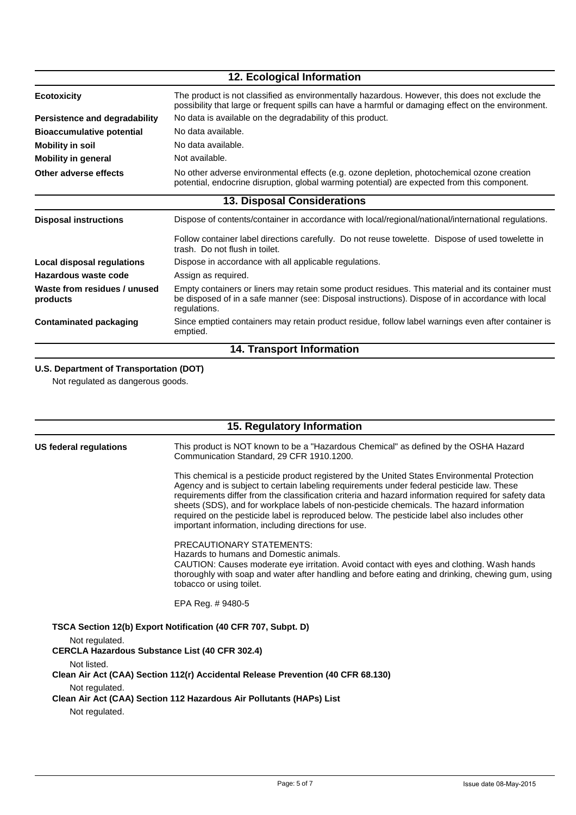| 12. Ecological Information               |                                                                                                                                                                                                                        |  |
|------------------------------------------|------------------------------------------------------------------------------------------------------------------------------------------------------------------------------------------------------------------------|--|
| <b>Ecotoxicity</b>                       | The product is not classified as environmentally hazardous. However, this does not exclude the<br>possibility that large or frequent spills can have a harmful or damaging effect on the environment.                  |  |
| Persistence and degradability            | No data is available on the degradability of this product.                                                                                                                                                             |  |
| <b>Bioaccumulative potential</b>         | No data available.                                                                                                                                                                                                     |  |
| <b>Mobility in soil</b>                  | No data available.                                                                                                                                                                                                     |  |
| <b>Mobility in general</b>               | Not available.                                                                                                                                                                                                         |  |
| Other adverse effects                    | No other adverse environmental effects (e.g. ozone depletion, photochemical ozone creation<br>potential, endocrine disruption, global warming potential) are expected from this component.                             |  |
|                                          | <b>13. Disposal Considerations</b>                                                                                                                                                                                     |  |
| <b>Disposal instructions</b>             | Dispose of contents/container in accordance with local/regional/national/international regulations.                                                                                                                    |  |
|                                          | Follow container label directions carefully. Do not reuse towelette. Dispose of used towelette in<br>trash. Do not flush in toilet.                                                                                    |  |
| Local disposal regulations               | Dispose in accordance with all applicable regulations.                                                                                                                                                                 |  |
| Hazardous waste code                     | Assign as required.                                                                                                                                                                                                    |  |
| Waste from residues / unused<br>products | Empty containers or liners may retain some product residues. This material and its container must<br>be disposed of in a safe manner (see: Disposal instructions). Dispose of in accordance with local<br>regulations. |  |
| <b>Contaminated packaging</b>            | Since emptied containers may retain product residue, follow label warnings even after container is<br>emptied.                                                                                                         |  |
| 11 Trananart Information                 |                                                                                                                                                                                                                        |  |

#### **14. Transport Information**

## **U.S. Department of Transportation (DOT)**

Not regulated as dangerous goods.

## **15. Regulatory Information**

| US federal regulations                                                  | This product is NOT known to be a "Hazardous Chemical" as defined by the OSHA Hazard<br>Communication Standard, 29 CFR 1910.1200.                                                                                                                                                                                                                                                                                                                                                                                                                       |
|-------------------------------------------------------------------------|---------------------------------------------------------------------------------------------------------------------------------------------------------------------------------------------------------------------------------------------------------------------------------------------------------------------------------------------------------------------------------------------------------------------------------------------------------------------------------------------------------------------------------------------------------|
|                                                                         | This chemical is a pesticide product registered by the United States Environmental Protection<br>Agency and is subject to certain labeling requirements under federal pesticide law. These<br>requirements differ from the classification criteria and hazard information required for safety data<br>sheets (SDS), and for workplace labels of non-pesticide chemicals. The hazard information<br>required on the pesticide label is reproduced below. The pesticide label also includes other<br>important information, including directions for use. |
|                                                                         | <b>PRECAUTIONARY STATEMENTS:</b><br>Hazards to humans and Domestic animals.<br>CAUTION: Causes moderate eye irritation. Avoid contact with eyes and clothing. Wash hands<br>thoroughly with soap and water after handling and before eating and drinking, chewing gum, using<br>tobacco or using toilet.                                                                                                                                                                                                                                                |
|                                                                         | EPA Reg. # 9480-5                                                                                                                                                                                                                                                                                                                                                                                                                                                                                                                                       |
|                                                                         | TSCA Section 12(b) Export Notification (40 CFR 707, Subpt. D)                                                                                                                                                                                                                                                                                                                                                                                                                                                                                           |
| Not regulated.<br><b>CERCLA Hazardous Substance List (40 CFR 302.4)</b> |                                                                                                                                                                                                                                                                                                                                                                                                                                                                                                                                                         |
| Not listed.                                                             |                                                                                                                                                                                                                                                                                                                                                                                                                                                                                                                                                         |
|                                                                         | Clean Air Act (CAA) Section 112(r) Accidental Release Prevention (40 CFR 68.130)                                                                                                                                                                                                                                                                                                                                                                                                                                                                        |
| Not regulated.                                                          |                                                                                                                                                                                                                                                                                                                                                                                                                                                                                                                                                         |
|                                                                         | Clean Air Act (CAA) Section 112 Hazardous Air Pollutants (HAPs) List                                                                                                                                                                                                                                                                                                                                                                                                                                                                                    |
| Not regulated.                                                          |                                                                                                                                                                                                                                                                                                                                                                                                                                                                                                                                                         |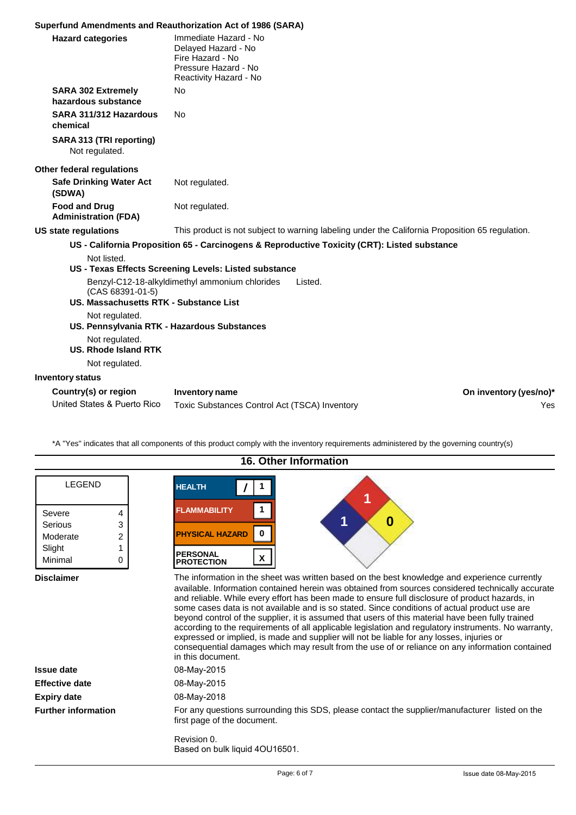| Superfund Amendments and Reauthorization Act of 1986 (SARA) |  |  |
|-------------------------------------------------------------|--|--|
|-------------------------------------------------------------|--|--|

| <b>Hazard categories</b>                                     | Immediate Hazard - No<br>Delayed Hazard - No<br>Fire Hazard - No<br>Pressure Hazard - No<br>Reactivity Hazard - No |                                                                                                         |                        |
|--------------------------------------------------------------|--------------------------------------------------------------------------------------------------------------------|---------------------------------------------------------------------------------------------------------|------------------------|
| <b>SARA 302 Extremely</b><br>hazardous substance             | <b>No</b>                                                                                                          |                                                                                                         |                        |
| SARA 311/312 Hazardous<br>chemical                           | <b>No</b>                                                                                                          |                                                                                                         |                        |
| SARA 313 (TRI reporting)<br>Not regulated.                   |                                                                                                                    |                                                                                                         |                        |
| Other federal regulations                                    |                                                                                                                    |                                                                                                         |                        |
| <b>Safe Drinking Water Act</b><br>(SDWA)                     | Not regulated.                                                                                                     |                                                                                                         |                        |
| <b>Food and Drug</b><br><b>Administration (FDA)</b>          | Not regulated.                                                                                                     |                                                                                                         |                        |
| <b>US state regulations</b>                                  |                                                                                                                    | This product is not subject to warning labeling under the California Proposition 65 regulation.         |                        |
| Not listed.                                                  | US - Texas Effects Screening Levels: Listed substance<br>Benzyl-C12-18-alkyldimethyl ammonium chlorides            | US - California Proposition 65 - Carcinogens & Reproductive Toxicity (CRT): Listed substance<br>Listed. |                        |
| $(CAS 68391-01-5)$<br>US. Massachusetts RTK - Substance List |                                                                                                                    |                                                                                                         |                        |
| Not regulated.                                               | US. Pennsylvania RTK - Hazardous Substances                                                                        |                                                                                                         |                        |
| Not regulated.<br><b>US. Rhode Island RTK</b>                |                                                                                                                    |                                                                                                         |                        |
| Not regulated.                                               |                                                                                                                    |                                                                                                         |                        |
| <b>Inventory status</b>                                      |                                                                                                                    |                                                                                                         |                        |
| Country(s) or region                                         | <b>Inventory name</b>                                                                                              |                                                                                                         | On inventory (yes/no)* |
| United States & Puerto Rico                                  | Toxic Substances Control Act (TSCA) Inventory                                                                      |                                                                                                         | Yes                    |

\*A "Yes" indicates that all components of this product comply with the inventory requirements administered by the governing country(s)

| 16. Other Information                              |                  |                                                                                                                                                                                                                                                                                                                                                                                                                                                                                                                                                                                                                                                                                                                                                                                                                                          |
|----------------------------------------------------|------------------|------------------------------------------------------------------------------------------------------------------------------------------------------------------------------------------------------------------------------------------------------------------------------------------------------------------------------------------------------------------------------------------------------------------------------------------------------------------------------------------------------------------------------------------------------------------------------------------------------------------------------------------------------------------------------------------------------------------------------------------------------------------------------------------------------------------------------------------|
| <b>LEGEND</b>                                      |                  | <b>HEALTH</b>                                                                                                                                                                                                                                                                                                                                                                                                                                                                                                                                                                                                                                                                                                                                                                                                                            |
| Severe<br>Serious<br>Moderate<br>Slight<br>Minimal | 4<br>3<br>2<br>0 | <b>FLAMMABILITY</b><br>$\bf{0}$<br>и<br><b>PHYSICAL HAZARD</b><br><b>PERSONAL</b><br>$\mathbf{x}$<br><b>PROTECTION</b>                                                                                                                                                                                                                                                                                                                                                                                                                                                                                                                                                                                                                                                                                                                   |
| <b>Disclaimer</b>                                  |                  | The information in the sheet was written based on the best knowledge and experience currently<br>available. Information contained herein was obtained from sources considered technically accurate<br>and reliable. While every effort has been made to ensure full disclosure of product hazards, in<br>some cases data is not available and is so stated. Since conditions of actual product use are<br>beyond control of the supplier, it is assumed that users of this material have been fully trained<br>according to the requirements of all applicable legislation and regulatory instruments. No warranty,<br>expressed or implied, is made and supplier will not be liable for any losses, injuries or<br>consequential damages which may result from the use of or reliance on any information contained<br>in this document. |
| <b>Issue date</b>                                  |                  | 08-May-2015                                                                                                                                                                                                                                                                                                                                                                                                                                                                                                                                                                                                                                                                                                                                                                                                                              |
| <b>Effective date</b>                              |                  | 08-May-2015                                                                                                                                                                                                                                                                                                                                                                                                                                                                                                                                                                                                                                                                                                                                                                                                                              |
| <b>Expiry date</b>                                 |                  | 08-May-2018                                                                                                                                                                                                                                                                                                                                                                                                                                                                                                                                                                                                                                                                                                                                                                                                                              |

Further information **For any questions surrounding this SDS**, please contact the supplier/manufacturer listed on the first page of the document.

> Revision 0. Based on bulk liquid 4OU16501.